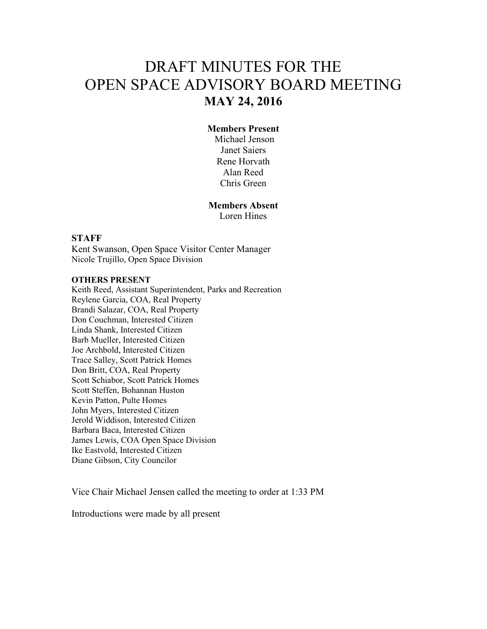# DRAFT MINUTES FOR THE OPEN SPACE ADVISORY BOARD MEETING **MAY 24, 2016**

#### **Members Present**

 Michael Jenson Janet Saiers Rene Horvath Alan Reed Chris Green

# **Members Absent**

Loren Hines

#### **STAFF**

Kent Swanson, Open Space Visitor Center Manager Nicole Trujillo, Open Space Division

#### **OTHERS PRESENT**

Keith Reed, Assistant Superintendent, Parks and Recreation Reylene Garcia, COA, Real Property Brandi Salazar, COA, Real Property Don Couchman, Interested Citizen Linda Shank, Interested Citizen Barb Mueller, Interested Citizen Joe Archbold, Interested Citizen Trace Salley, Scott Patrick Homes Don Britt, COA, Real Property Scott Schiabor, Scott Patrick Homes Scott Steffen, Bohannan Huston Kevin Patton, Pulte Homes John Myers, Interested Citizen Jerold Widdison, Interested Citizen Barbara Baca, Interested Citizen James Lewis, COA Open Space Division Ike Eastvold, Interested Citizen Diane Gibson, City Councilor

Vice Chair Michael Jensen called the meeting to order at 1:33 PM

Introductions were made by all present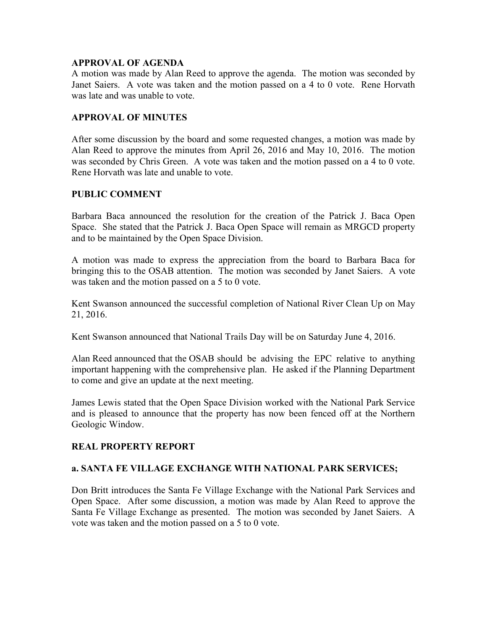#### **APPROVAL OF AGENDA**

A motion was made by Alan Reed to approve the agenda. The motion was seconded by Janet Saiers. A vote was taken and the motion passed on a 4 to 0 vote. Rene Horvath was late and was unable to vote.

#### **APPROVAL OF MINUTES**

After some discussion by the board and some requested changes, a motion was made by Alan Reed to approve the minutes from April 26, 2016 and May 10, 2016. The motion was seconded by Chris Green. A vote was taken and the motion passed on a 4 to 0 vote. Rene Horvath was late and unable to vote.

#### **PUBLIC COMMENT**

Barbara Baca announced the resolution for the creation of the Patrick J. Baca Open Space. She stated that the Patrick J. Baca Open Space will remain as MRGCD property and to be maintained by the Open Space Division.

A motion was made to express the appreciation from the board to Barbara Baca for bringing this to the OSAB attention. The motion was seconded by Janet Saiers. A vote was taken and the motion passed on a 5 to 0 vote.

Kent Swanson announced the successful completion of National River Clean Up on May 21, 2016.

Kent Swanson announced that National Trails Day will be on Saturday June 4, 2016.

Alan Reed announced that the OSAB should be advising the EPC relative to anything important happening with the comprehensive plan. He asked if the Planning Department to come and give an update at the next meeting.

James Lewis stated that the Open Space Division worked with the National Park Service and is pleased to announce that the property has now been fenced off at the Northern Geologic Window.

## **REAL PROPERTY REPORT**

#### **a. SANTA FE VILLAGE EXCHANGE WITH NATIONAL PARK SERVICES;**

Don Britt introduces the Santa Fe Village Exchange with the National Park Services and Open Space. After some discussion, a motion was made by Alan Reed to approve the Santa Fe Village Exchange as presented. The motion was seconded by Janet Saiers. A vote was taken and the motion passed on a 5 to 0 vote.